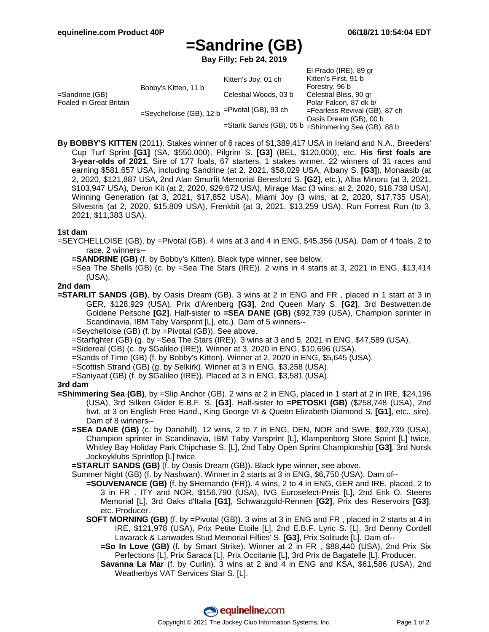# **=Sandrine (GB)**

**Bay Filly; Feb 24, 2019**

|                                           |                                                          |                                                      | El Prado (IRE), 89 gr            |
|-------------------------------------------|----------------------------------------------------------|------------------------------------------------------|----------------------------------|
| =Sandrine (GB)<br>Foaled in Great Britain | Bobby's Kitten, 11 b                                     | Kitten's Joy, 01 ch                                  | Kitten's First, 91 b             |
|                                           |                                                          |                                                      | Forestry, 96 b                   |
|                                           |                                                          | Celestial Woods, 03 b                                | Celestial Bliss, 90 gr           |
|                                           | =Seychelloise (GB), 12 b <sup>=Pivotal</sup> (GB), 93 ch |                                                      | Polar Falcon, 87 dk b/           |
|                                           |                                                          |                                                      | $=$ Fearless Revival (GB), 87 ch |
|                                           |                                                          | =Starlit Sands (GB), 05 b =Shimmering Sea (GB), 88 b | Oasis Dream (GB), 00 b           |
|                                           |                                                          |                                                      |                                  |

**By BOBBY'S KITTEN** (2011). Stakes winner of 6 races of \$1,389,417 USA in Ireland and N.A., Breeders' Cup Turf Sprint **[G1]** (SA, \$550,000), Pilgrim S. **[G3]** (BEL, \$120,000), etc. **His first foals are 3-year-olds of 2021**. Sire of 177 foals, 67 starters, 1 stakes winner, 22 winners of 31 races and earning \$581,657 USA, including Sandrine (at 2, 2021, \$58,029 USA, Albany S. **[G3]**), Monaasib (at 2, 2020, \$121,887 USA, 2nd Alan Smurfit Memorial Beresford S. **[G2]**, etc.), Alba Minoru (at 3, 2021, \$103,947 USA), Deron Kit (at 2, 2020, \$29,672 USA), Mirage Mac (3 wins, at 2, 2020, \$18,738 USA), Winning Generation (at 3, 2021, \$17,852 USA), Miami Joy (3 wins, at 2, 2020, \$17,735 USA), Silvestris (at 2, 2020, \$15,809 USA), Frenkbit (at 3, 2021, \$13,259 USA), Run Forrest Run (to 3, 2021, \$11,383 USA).

## **1st dam**

- =SEYCHELLOISE (GB), by =Pivotal (GB). 4 wins at 3 and 4 in ENG, \$45,356 (USA). Dam of 4 foals, 2 to race, 2 winners--
	- **=SANDRINE (GB)** (f. by Bobby's Kitten). Black type winner, see below.
	- =Sea The Shells (GB) (c. by =Sea The Stars (IRE)). 2 wins in 4 starts at 3, 2021 in ENG, \$13,414 (USA).

## **2nd dam**

- **=STARLIT SANDS (GB)**, by Oasis Dream (GB). 3 wins at 2 in ENG and FR , placed in 1 start at 3 in GER, \$128,929 (USA), Prix d'Arenberg **[G3]**, 2nd Queen Mary S. **[G2]**, 3rd Bestwetten.de Goldene Peitsche **[G2]**. Half-sister to **=SEA DANE (GB)** (\$92,739 (USA), Champion sprinter in Scandinavia, IBM Taby Varsprint [L], etc.). Dam of 5 winners--
	- =Seychelloise (GB) (f. by =Pivotal (GB)). See above.
	- =Starfighter (GB) (g. by =Sea The Stars (IRE)). 3 wins at 3 and 5, 2021 in ENG, \$47,589 (USA).
	- =Sidereal (GB) (c. by \$Galileo (IRE)). Winner at 3, 2020 in ENG, \$10,696 (USA).
	- =Sands of Time (GB) (f. by Bobby's Kitten). Winner at 2, 2020 in ENG, \$5,645 (USA).
	- =Scottish Strand (GB) (g. by Selkirk). Winner at 3 in ENG, \$3,258 (USA).
	- =Saniyaat (GB) (f. by \$Galileo (IRE)). Placed at 3 in ENG, \$3,581 (USA).

#### **3rd dam**

- **=Shimmering Sea (GB)**, by =Slip Anchor (GB). 2 wins at 2 in ENG, placed in 1 start at 2 in IRE, \$24,196 (USA), 3rd Silken Glider E.B.F. S. **[G3]**. Half-sister to **=PETOSKI (GB)** (\$258,748 (USA), 2nd hwt. at 3 on English Free Hand., King George VI & Queen Elizabeth Diamond S. **[G1]**, etc., sire). Dam of 8 winners--
	- **=SEA DANE (GB)** (c. by Danehill). 12 wins, 2 to 7 in ENG, DEN, NOR and SWE, \$92,739 (USA), Champion sprinter in Scandinavia, IBM Taby Varsprint [L], Klampenborg Store Sprint [L] twice, Whitley Bay Holiday Park Chipchase S. [L], 2nd Taby Open Sprint Championship **[G3]**, 3rd Norsk Jockeyklubs Sprintlop [L] twice.

**=STARLIT SANDS (GB)** (f. by Oasis Dream (GB)). Black type winner, see above.

Summer Night (GB) (f. by Nashwan). Winner in 2 starts at 3 in ENG, \$6,750 (USA). Dam of--

- **=SOUVENANCE (GB)** (f. by \$Hernando (FR)). 4 wins, 2 to 4 in ENG, GER and IRE, placed, 2 to 3 in FR , ITY and NOR, \$156,790 (USA), IVG Euroselect-Preis [L], 2nd Erik O. Steens Memorial [L], 3rd Oaks d'Italia **[G1]**, Schwarzgold-Rennen **[G2]**, Prix des Reservoirs **[G3]**, etc. Producer.
- **SOFT MORNING (GB)** (f. by =Pivotal (GB)). 3 wins at 3 in ENG and FR , placed in 2 starts at 4 in IRE, \$121,978 (USA), Prix Petite Etoile [L], 2nd E.B.F. Lyric S. [L], 3rd Denny Cordell Lavarack & Lanwades Stud Memorial Fillies' S. **[G3]**, Prix Solitude [L]. Dam of--
	- **=So In Love (GB)** (f. by Smart Strike). Winner at 2 in FR , \$88,440 (USA), 2nd Prix Six Perfections [L], Prix Saraca [L], Prix Occitanie [L], 3rd Prix de Bagatelle [L]. Producer.
	- **Savanna La Mar** (f. by Curlin). 3 wins at 2 and 4 in ENG and KSA, \$61,586 (USA), 2nd Weatherbys VAT Services Star S. [L].